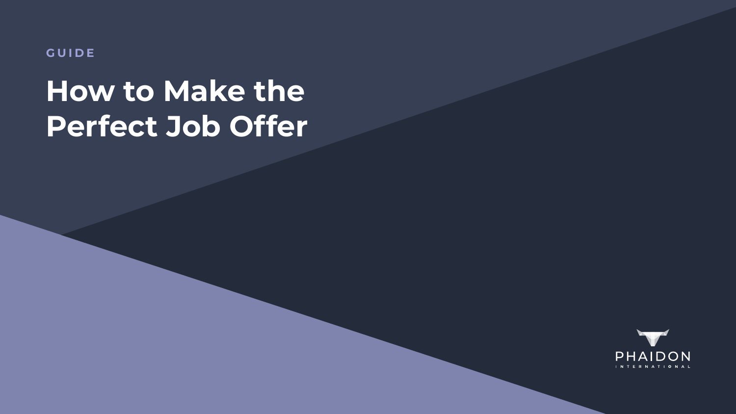**GUIDE**

# **How to Make the Perfect Job Offer**

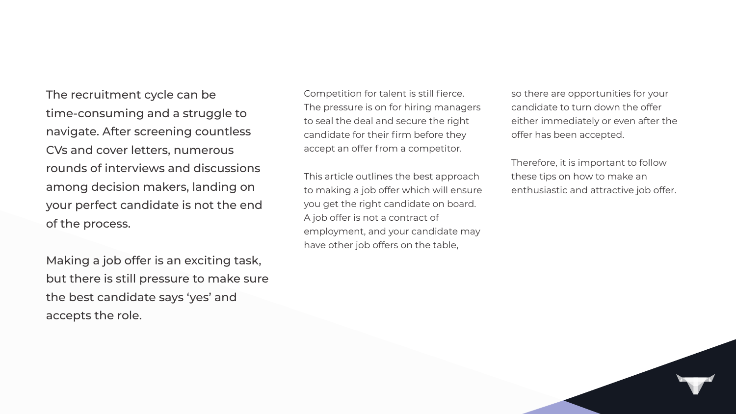The recruitment cycle can be time-consuming and a struggle to navigate. After screening countless CVs and cover letters, numerous rounds of interviews and discussions among decision makers, landing on your perfect candidate is not the end of the process.

Making a job offer is an exciting task, but there is still pressure to make sure the best candidate says 'yes' and accepts the role.

Competition for talent is still fierce. The pressure is on for hiring managers to seal the deal and secure the right candidate for their firm before they accept an offer from a competitor.

This article outlines the best approach to making a job offer which will ensure you get the right candidate on board. A job offer is not a contract of employment, and your candidate may have other job offers on the table,

so there are opportunities for your candidate to turn down the offer either immediately or even after the offer has been accepted.

Therefore, it is important to follow these tips on how to make an enthusiastic and attractive job offer.

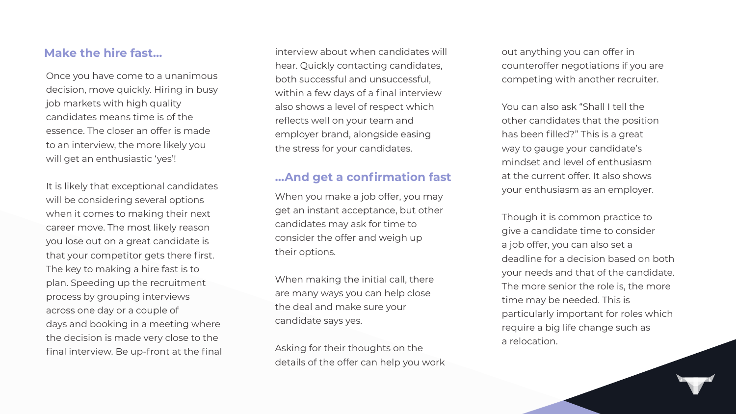# **Make the hire fast…**

Once you have come to a unanimous decision, move quickly. Hiring in busy job markets with high quality candidates means time is of the essence. The closer an offer is made to an interview, the more likely you will get an enthusiastic 'yes'!

It is likely that exceptional candidates will be considering several options when it comes to making their next career move. The most likely reason you lose out on a great candidate is that your competitor gets there first. The key to making a hire fast is to plan. Speeding up the recruitment process by grouping interviews across one day or a couple of days and booking in a meeting where the decision is made very close to the final interview. Be up-front at the final You can also ask "Shall I tell the other candidates that the position has been filled?" This is a great way to gauge your candidate's mindset and level of enthusiasm at the current offer. It also shows your enthusiasm as an employer.

interview about when candidates will hear. Quickly contacting candidates, both successful and unsuccessful, within a few days of a final interview also shows a level of respect which reflects well on your team and employer brand, alongside easing the stress for your candidates.

# **…And get a confirmation fast**

When you make a job offer, you may get an instant acceptance, but other candidates may ask for time to consider the offer and weigh up their options.

When making the initial call, there are many ways you can help close the deal and make sure your candidate says yes.

Asking for their thoughts on the details of the offer can help you work out anything you can offer in counteroffer negotiations if you are competing with another recruiter.

Though it is common practice to give a candidate time to consider a job offer, you can also set a deadline for a decision based on both your needs and that of the candidate. The more senior the role is, the more time may be needed. This is particularly important for roles which require a big life change such as a relocation.

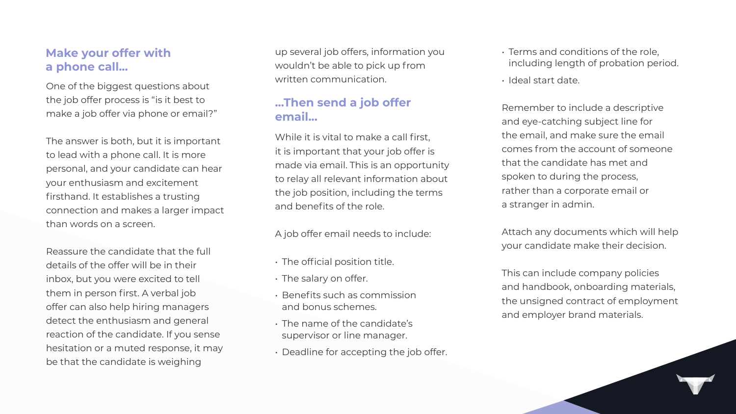# **Make your offer with a phone call...**

One of the biggest questions about the job offer process is "is it best to make a job offer via phone or email?"

The answer is both, but it is important to lead with a phone call. It is more personal, and your candidate can hear your enthusiasm and excitement firsthand. It establishes a trusting connection and makes a larger impact than words on a screen.

Reassure the candidate that the full details of the offer will be in their inbox, but you were excited to tell them in person first. A verbal job offer can also help hiring managers detect the enthusiasm and general reaction of the candidate. If you sense hesitation or a muted response, it may be that the candidate is weighing

up several job offers, information you wouldn't be able to pick up from written communication.

# **...Then send a job offer email...**

While it is vital to make a call first, it is important that your job offer is made via email. This is an opportunity to relay all relevant information about the job position, including the terms and benefits of the role.

A job offer email needs to include:

- The official position title.
- The salary on offer.
- Benefits such as commission and bonus schemes.
- The name of the candidate's supervisor or line manager.
- Deadline for accepting the job offer.

- Terms and conditions of the role, including length of probation period.
- Ideal start date.

Remember to include a descriptive and eye-catching subject line for the email, and make sure the email comes from the account of someone that the candidate has met and spoken to during the process, rather than a corporate email or a stranger in admin.

Attach any documents which will help your candidate make their decision.

This can include company policies and handbook, onboarding materials, the unsigned contract of employment and employer brand materials.

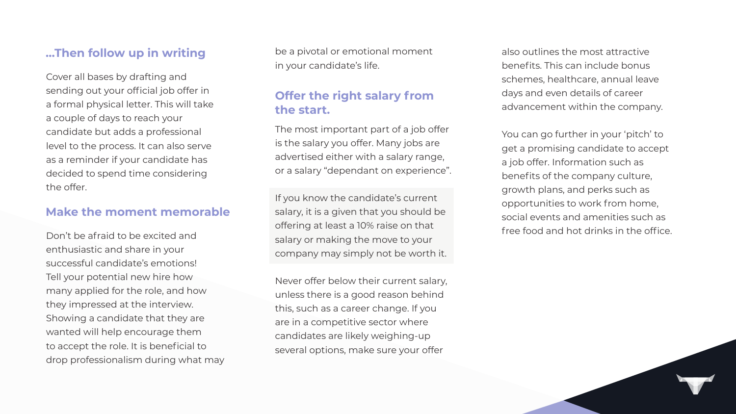# **…Then follow up in writing**

Cover all bases by drafting and sending out your official job offer in a formal physical letter. This will take a couple of days to reach your candidate but adds a professional level to the process. It can also serve as a reminder if your candidate has decided to spend time considering the offer.

# **Offer the right salary from the start.**

The most important part of a job offer is the salary you offer. Many jobs are advertised either with a salary range, or a salary "dependant on experience".

If you know the candidate's current salary, it is a given that you should be offering at least a 10% raise on that salary or making the move to your company may simply not be worth it.

You can go further in your 'pitch' to get a promising candidate to accept a job offer. Information such as benefits of the company culture, growth plans, and perks such as opportunities to work from home, social events and amenities such as free food and hot drinks in the office.



Never offer below their current salary, unless there is a good reason behind this, such as a career change. If you are in a competitive sector where candidates are likely weighing-up several options, make sure your offer

also outlines the most attractive benefits. This can include bonus schemes, healthcare, annual leave days and even details of career advancement within the company.

### **Make the moment memorable**

Don't be afraid to be excited and enthusiastic and share in your successful candidate's emotions! Tell your potential new hire how many applied for the role, and how they impressed at the interview. Showing a candidate that they are wanted will help encourage them to accept the role. It is beneficial to drop professionalism during what may be a pivotal or emotional moment in your candidate's life.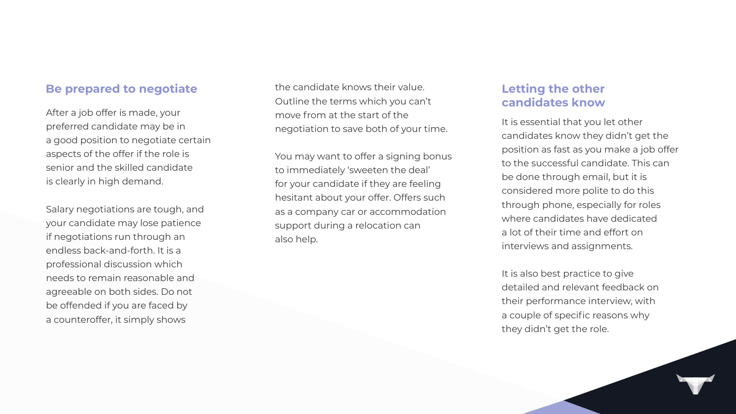# **Letting the other candidates know**

It is essential that you let other candidates know they didn't get the position as fast as you make a job offer to the successful candidate. This can be done through email, but it is considered more polite to do this through phone, especially for roles where candidates have dedicated a lot of their time and effort on interviews and assignments.

It is also best practice to give detailed and relevant feedback on their performance interview, with a couple of specific reasons why they didn't get the role.



### **Be prepared to negotiate**

After a job offer is made, your preferred candidate may be in a good position to negotiate certain aspects of the offer if the role is senior and the skilled candidate is clearly in high demand.

You may want to offer a signing bonus to immediately 'sweeten the deal' for your candidate if they are feeling hesitant about your offer. Offers such as a company car or accommodation support during a relocation can also help.

Salary negotiations are tough, and your candidate may lose patience if negotiations run through an endless back-and-forth. It is a professional discussion which needs to remain reasonable and agreeable on both sides. Do not be offended if you are faced by a counteroffer, it simply shows

the candidate knows their value. Outline the terms which you can't move from at the start of the negotiation to save both of your time.